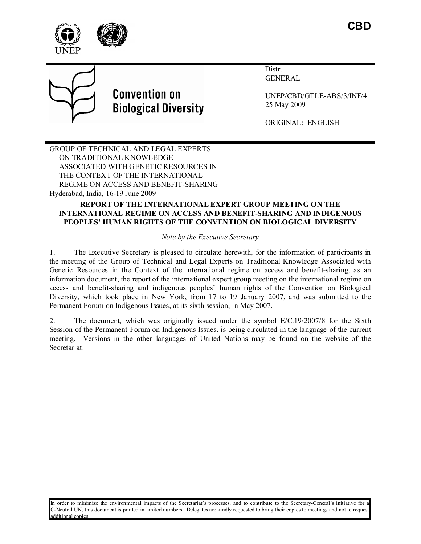





# **Convention on Biological Diversity**

 Distr. GENERAL

UNEP/CBD/GTLE-ABS/3/INF/4 25 May 2009

ORIGINAL: ENGLISH

GROUP OF TECHNICAL AND LEGAL EXPERTS ON TRADITIONAL KNOWLEDGE ASSOCIATED WITH GENETIC RESOURCES IN THE CONTEXT OF THE INTERNATIONAL REGIME ON ACCESS AND BENEFIT-SHARING Hyderabad, India, 16-19 June 2009

# **REPORT OF THE I TER ATIO AL EXPERT GROUP MEETI G O THE INTERNATIONAL REGIME ON ACCESS AND BENEFIT-SHARING AND INDIGENOUS PEOPLES' HUMA RIGHTS OF THE CO VE TIO O BIOLOGICAL DIVERSITY**

*Note by the Executive Secretary* 

1. The Executive Secretary is pleased to circulate herewith, for the information of participants in the meeting of the Group of Technical and Legal Experts on Traditional Knowledge Associated with Genetic Resources in the Context of the international regime on access and benefit-sharing, as an information document, the report of the international expert group meeting on the international regime on access and benefit-sharing and indigenous peoples' human rights of the Convention on Biological Diversity, which took place in New York, from 17 to 19 January 2007, and was submitted to the Permanent Forum on Indigenous Issues, at its sixth session, in May 2007.

2. The document, which was originally issued under the symbol E/C.19/2007/8 for the Sixth Session of the Permanent Forum on Indigenous Issues, is being circulated in the language of the current meeting. Versions in the other languages of United Nations may be found on the website of the Secretariat.

In order to minimize the environmental impacts of the Secretariat's processes, and to contribute to the Secretary-General's initiative for a C-Neutral UN, this document is printed in limited numbers. Delegates are kindly requested to bring their copies to meetings and not to request additional copies.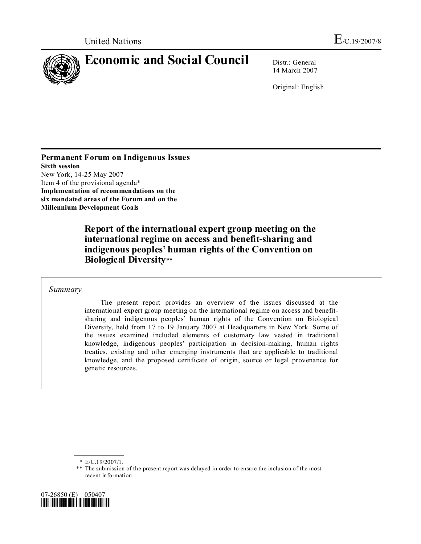

14 March 2007

Original: English

**Permanent Forum on Indigenous Issues Sixth session**  New York, 14-25 May 2007 Item 4 of the provisional agenda\* **Implementation of recommendations on the six mandated areas of the Forum and on the Millennium Development Goals** 

> **Report of the international expert group meeting on the international regime on access and benefit-sharing and indigenous peoples' human rights of the Convention on Biological Diversity**\*\*

 *Summary* 

 The present report provides an overview of the issues discussed at the international expert group meeting on the international regime on access and benefitsharing and indigenous peoples' human rights of the Convention on Biological Diversity, held from 17 to 19 January 2007 at Headquarters in New York. Some of the issues examined included elements of customary law vested in traditional knowledge, indigenous peoples' participation in decision-making, human rights treaties, existing and other emerging instruments that are applicable to traditional knowledge, and the proposed certificate of origin, source or legal provenance for genetic resources.

<sup>\*\*</sup> The submission of the present report was delayed in order to ensure the inclusion of the most recent information.



 <sup>\*</sup> E/C.19/2007/1.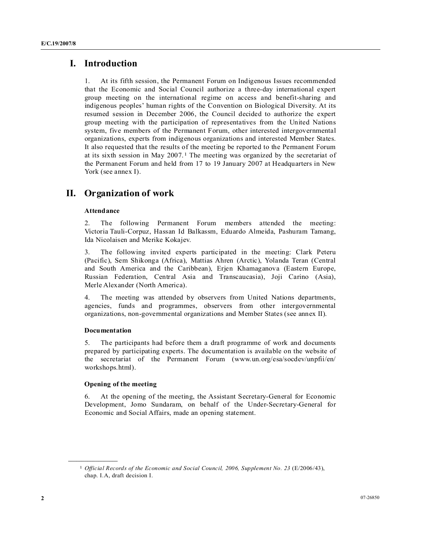# **I. Introduction**

1. At its fifth session, the Permanent Forum on Indigenous Issues recommended that the Economic and Social Council authorize a three-day international expert group meeting on the international regime on access and benefit-sharing and indigenous peoples' human rights of the Convention on Biological Diversity. At its resumed session in December 2006, the Council decided to authorize the expert group meeting with the participation of representatives from the United Nations system, five members of the Permanent Forum, other interested intergovernmental organizations, experts from indigenous organizations and interested Member States. It also requested that the results of the meeting be reported to the Permanent Forum at its sixth session in May 2007. 1 The meeting was organized by the secretariat of the Permanent Forum and held from 17 to 19 January 2007 at Headquarters in New York (see annex I).

# **II. Organization of work**

# **Attendance**

2. The following Permanent Forum members attended the meeting: Victoria Tauli-Corpuz, Hassan Id Balkassm, Eduardo Almeida, Pashuram Tamang, Ida Nicolaisen and Merike Kokajev.

3. The following invited experts participated in the meeting: Clark Peteru (Pacific), Sem Shikonga (Africa), Mattias Ahren (Arctic), Yolanda Teran (Central and South America and the Caribbean), Erjen Khamaganova (Eastern Europe, Russian Federation, Central Asia and Transcaucasia), Joji Carino (Asia), Merle Alexander (North America).

4. The meeting was attended by observers from United Nations departments, agencies, funds and programmes, observers from other intergovernmental organizations, non-governmental organizations and Member States (see annex II).

### **Documentation**

**\_\_\_\_\_\_\_\_\_\_\_\_\_\_\_\_\_\_** 

5. The participants had before them a draft programme of work and documents prepared by participating experts. The documentation is available on the website of the secretariat of the Permanent Forum (www.un.org/esa/socdev/unpfii/en/ workshops.html).

### **Opening of the meeting**

6. At the opening of the meeting, the Assistant Secretary-General for Economic Development, Jomo Sundaram, on behalf of the Under-Secretary-General for Economic and Social Affairs, made an opening statement.

<sup>&</sup>lt;sup>1</sup> *Official Records of the Economic and Social Council, 2006, Supplement No. 23 (E/2006/43),* chap. I.A, draft decision I.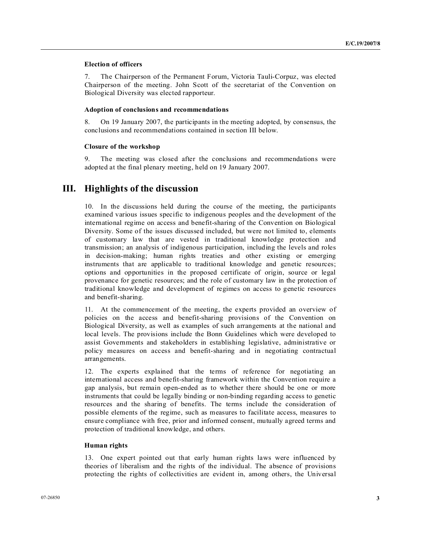# **Election of officers**

7. The Chairperson of the Permanent Forum, Victoria Tauli-Corpuz, was elected Chairperson of the meeting. John Scott of the secretariat of the Convention on Biological Diversity was elected rapporteur.

# **Adoption of conclusions and recommendations**

8. On 19 January 2007, the participants in the meeting adopted, by consensus, the conclusions and recommendations contained in section III below.

### **Closure of the workshop**

9. The meeting was closed after the conclusions and recommendations were adopted at the final plenary meeting, held on 19 January 2007.

# **III. Highlights of the discussion**

10. In the discussions held during the course of the meeting, the participants examined various issues specific to indigenous peoples and the development of the international regime on access and benefit-sharing of the Convention on Biological Diversity. Some of the issues discussed included, but were not limited to, elements of customary law that are vested in traditional knowledge protection and transmission; an analysis of indigenous participation, including the levels and roles in decision-making; human rights treaties and other existing or emerging instruments that are applicable to traditional knowledge and genetic resources; options and opportunities in the proposed certificate of origin, source or legal provenance for genetic resources; and the role of customary law in the protection of traditional knowledge and development of regimes on access to genetic resources and benefit-sharing.

11. At the commencement of the meeting, the experts provided an overview of policies on the access and benefit-sharing provisions of the Convention on Biological Diversity, as well as examples of such arrangements at the national and local levels. The provisions include the Bonn Guidelines which were developed to assist Governments and stakeholders in establishing legislative, administrative or policy measures on access and benefit-sharing and in negotiating contractual arrangements.

12. The experts explained that the terms of reference for negotiating an international access and benefit-sharing framework within the Convention require a gap analysis, but remain open-ended as to whether there should be one or more instruments that could be legally binding or non-binding regarding access to genetic resources and the sharing of benefits. The terms include the consideration of possible elements of the regime, such as measures to facilitate access, measures to ensure compliance with free, prior and informed consent, mutually agreed terms and protection of traditional knowledge, and others.

# **Human rights**

13. One expert pointed out that early human rights laws were influenced by theories of liberalism and the rights of the individual. The absence of provisions protecting the rights of collectivities are evident in, among others, the Universal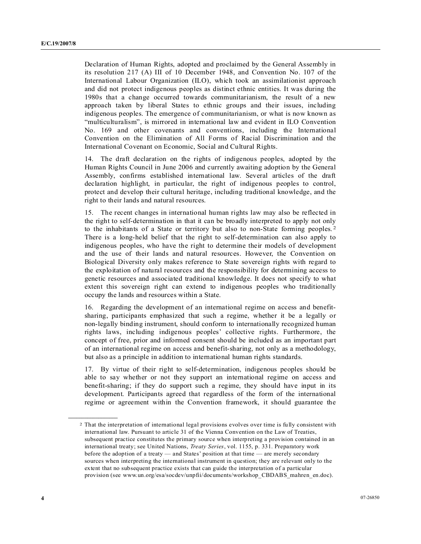Declaration of Human Rights, adopted and proclaimed by the General Assembly in its resolution 217 (A) III of 10 December 1948, and Convention No. 107 of the International Labour Organization (ILO), which took an assimilationist approach and did not protect indigenous peoples as distinct ethnic entities. It was during the 1980s that a change occurred towards communitarianism, the result of a new approach taken by liberal States to ethnic groups and their issues, including indigenous peoples. The emergence of communitarianism, or what is now known as "multiculturalism", is mirrored in international law and evident in ILO Convention No. 169 and other covenants and conventions, including the International Convention on the Elimination of All Forms of Racial Discrimination and the International Covenant on Economic, Social and Cultural Rights.

14. The draft declaration on the rights of indigenous peoples, adopted by the Human Rights Council in June 2006 and currently awaiting adoption by the General Assembly, confirms established international law. Several articles of the draft declaration highlight, in particular, the right of indigenous peoples to control, protect and develop their cultural heritage, including traditional knowledge, and the right to their lands and natural resources.

15. The recent changes in international human rights law may also be reflected in the right to self-determination in that it can be broadly interpreted to apply not only to the inhabitants of a State or territory but also to non-State forming peoples. 2 There is a long-held belief that the right to self-determination can also apply to indigenous peoples, who have the right to determine their models of development and the use of their lands and natural resources. However, the Convention on Biological Diversity only makes reference to State sovereign rights with regard to the exploitation of natural resources and the responsibility for determining access to genetic resources and associated traditional knowledge. It does not specify to what extent this sovereign right can extend to indigenous peoples who traditionally occupy the lands and resources within a State.

16. Regarding the development of an international regime on access and benefitsharing, participants emphasized that such a regime, whether it be a legally or non-legally binding instrument, should conform to internationally recognized human rights laws, including indigenous peoples' collective rights. Furthermore, the concept of free, prior and informed consent should be included as an important part of an international regime on access and benefit-sharing, not only as a methodology, but also as a principle in addition to international human rights standards.

17. By virtue of their right to self-determination, indigenous peoples should be able to say whether or not they support an international regime on access and benefit-sharing; if they do support such a regime, they should have input in its development. Participants agreed that regardless of the form of the international regime or agreement within the Convention framework, it should guarantee the

**\_\_\_\_\_\_\_\_\_\_\_\_\_\_\_\_\_\_** 

<sup>2</sup> That the interpretation of international legal provisions evolves over time is fully consistent with international law. Pursuant to article 31 of the Vienna Convention on the Law of Treaties, subsequent practice constitutes the primary source when interpreting a provision contained in an international treaty; see United Nations, *Treaty Series*, vol. 1155, p. 331. Preparatory work before the adoption of a treaty — and States' position at that time — are merely secondary sources when interpreting the international instrument in question; they are relevant only to the extent that no subsequent practice exists that can guide the interpretation of a particular provision (see www.un.org/esa/socdev/unpfii/documents/workshop\_CBDABS\_mahren\_en.doc).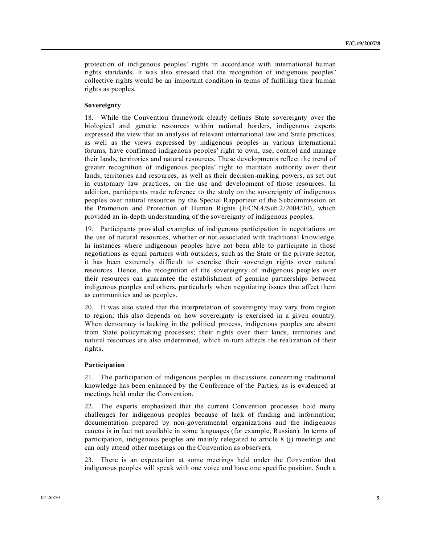protection of indigenous peoples' rights in accordance with international human rights standards. It was also stressed that the recognition of indigenous peoples' collective rights would be an important condition in terms of fulfilling their human rights as peoples.

# **Sovereignty**

18. While the Convention framework clearly defines State sovereignty over the biological and genetic resources within national borders, indigenous experts expressed the view that an analysis of relevant international law and State practices, as well as the views expressed by indigenous peoples in various international forums, have confirmed indigenous peoples' right to own, use, control and manage their lands, territories and natural resources. These developments reflect the trend of greater recognition of indigenous peoples' right to maintain authority over their lands, territories and resources, as well as their decision-making powers, as set out in customary law practices, on the use and development of those resources. In addition, participants made reference to the study on the sovereignty of indigenous peoples over natural resources by the Special Rapporteur of the Subcommission on the Promotion and Protection of Human Rights (E/CN.4/Sub.2/2004/30), which provided an in-depth understanding of the sovereignty of indigenous peoples.

19. Participants provided examples of indigenous participation in negotiations on the use of natural resources, whether or not associated with traditional knowledge. In instances where indigenous peoples have not been able to participate in those negotiations as equal partners with outsiders, such as the State or the private sector, it has been extremely difficult to exercise their sovereign rights over natural resources. Hence, the recognition of the sovereignty of indigenous peoples over their resources can guarantee the establishment of genuine partnerships between indigenous peoples and others, particularly when negotiating issues that affect them as communities and as peoples.

20. It was also stated that the interpretation of sovereignty may vary from region to region; this also depends on how sovereignty is exercised in a given country. When democracy is lacking in the political process, indigenous peoples are absent from State policymaking processes; their rights over their lands, territories and natural resources are also undermined, which in turn affects the realization of their rights.

### **Participation**

21. The participation of indigenous peoples in discussions concerning traditional knowledge has been enhanced by the Conference of the Parties, as is evidenced at meetings held under the Convention.

22. The experts emphasized that the current Convention processes hold many challenges for indigenous peoples because of lack of funding and information; documentation prepared by non-governmental organizations and the indigenous caucus is in fact not available in some languages (for example, Russian). In terms of participation, indigenous peoples are mainly relegated to article 8 (j) meetings and can only attend other meetings on the Convention as observers.

23. There is an expectation at some meetings held under the Convention that indigenous peoples will speak with one voice and have one specific position. Such a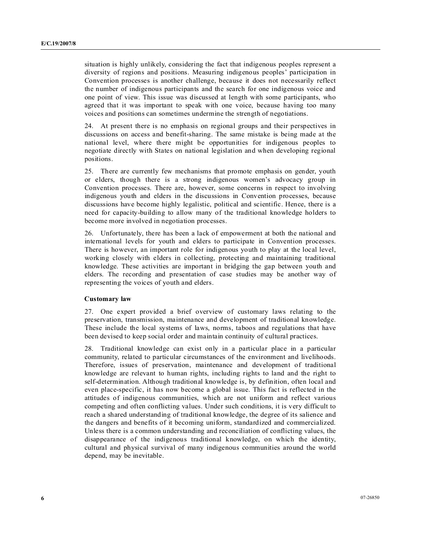situation is highly unlikely, considering the fact that indigenous peoples represent a diversity of regions and positions. Measuring indigenous peoples' participation in Convention processes is another challenge, because it does not necessarily reflect the number of indigenous participants and the search for one indigenous voice and one point of view. This issue was discussed at length with some participants, who agreed that it was important to speak with one voice, because having too many voices and positions can sometimes undermine the strength of negotiations.

24. At present there is no emphasis on regional groups and their perspectives in discussions on access and benefit-sharing. The same mistake is being made at the national level, where there might be opportunities for indigenous peoples to negotiate directly with States on national legislation and when developing regional positions.

25. There are currently few mechanisms that promote emphasis on gender, youth or elders, though there is a strong indigenous women's advocacy group in Convention processes. There are, however, some concerns in respect to involving indigenous youth and elders in the discussions in Convention processes, because discussions have become highly legalistic, political and scientific. Hence, there is a need for capacity-building to allow many of the traditional knowledge holders to become more involved in negotiation processes.

26. Unfortunately, there has been a lack of empowerment at both the national and international levels for youth and elders to participate in Convention processes. There is however, an important role for indigenous youth to play at the local level, working closely with elders in collecting, protecting and maintaining traditional knowledge. These activities are important in bridging the gap between youth and elders. The recording and presentation of case studies may be another way of representing the voices of youth and elders.

### **Customary law**

27. One expert provided a brief overview of customary laws relating to the preservation, transmission, maintenance and development of traditional knowledge. These include the local systems of laws, norms, taboos and regulations that have been devised to keep social order and maintain continuity of cultural practices.

28. Traditional knowledge can exist only in a particular place in a particular community, related to particular circumstances of the environment and livelihoods. Therefore, issues of preservation, maintenance and development of traditional knowledge are relevant to human rights, including rights to land and the right to self-determination. Although traditional knowledge is, by definition, often local and even place-specific, it has now become a global issue. This fact is reflected in the attitudes of indigenous communities, which are not uniform and reflect various competing and often conflicting values. Under such conditions, it is very difficult to reach a shared understanding of traditional knowledge, the degree of its salience and the dangers and benefits of it becoming uniform, standardized and commercialized. Unless there is a common understanding and reconciliation of conflicting values, the disappearance of the indigenous traditional knowledge, on which the identity, cultural and physical survival of many indigenous communities around the world depend, may be inevitable.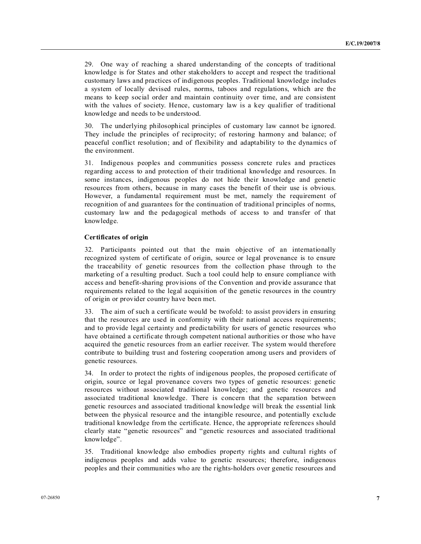29. One way of reaching a shared understanding of the concepts of traditional knowledge is for States and other stakeholders to accept and respect the traditional customary laws and practices of indigenous peoples. Traditional knowledge includes a system of locally devised rules, norms, taboos and regulations, which are the means to keep social order and maintain continuity over time, and are consistent with the values of society. Hence, customary law is a key qualifier of traditional knowledge and needs to be understood.

30. The underlying philosophical principles of customary law cannot be ignored. They include the principles of reciprocity; of restoring harmony and balance; of peaceful conflict resolution; and of flexibility and adaptability to the dynamics of the environment.

31. Indigenous peoples and communities possess concrete rules and practices regarding access to and protection of their traditional knowledge and resources. In some instances, indigenous peoples do not hide their knowledge and genetic resources from others, because in many cases the benefit of their use is obvious. However, a fundamental requirement must be met, namely the requirement of recognition of and guarantees for the continuation of traditional principles of norms, customary law and the pedagogical methods of access to and transfer of that knowledge.

# **Certificates of origin**

32. Participants pointed out that the main objective of an internationally recognized system of certificate of origin, source or legal provenance is to ensure the traceability of genetic resources from the collection phase through to the marketing of a resulting product. Such a tool could help to ensure compliance with access and benefit-sharing provisions of the Convention and provide assurance that requirements related to the legal acquisition of the genetic resources in the country of origin or provider country have been met.

33. The aim of such a certificate would be twofold: to assist providers in ensuring that the resources are used in conformity with their national access requirements; and to provide legal certainty and predictability for users of genetic resources who have obtained a certificate through competent national authorities or those who have acquired the genetic resources from an earlier receiver. The system would therefore contribute to building trust and fostering cooperation among users and providers of genetic resources.

34. In order to protect the rights of indigenous peoples, the proposed certificate of origin, source or legal provenance covers two types of genetic resources: genetic resources without associated traditional knowledge; and genetic resources and associated traditional knowledge. There is concern that the separation between genetic resources and associated traditional knowledge will break the essential link between the physical resource and the intangible resource, and potentially exclude traditional knowledge from the certificate. Hence, the appropriate references should clearly state "genetic resources" and "genetic resources and associated traditional knowledge".

35. Traditional knowledge also embodies property rights and cultural rights of indigenous peoples and adds value to genetic resources; therefore, indigenous peoples and their communities who are the rights-holders over genetic resources and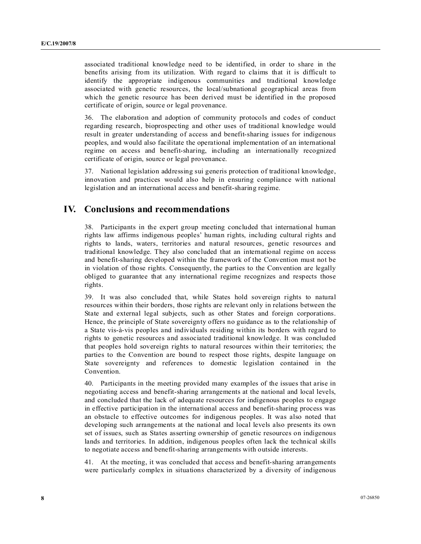associated traditional knowledge need to be identified, in order to share in the benefits arising from its utilization. With regard to claims that it is difficult to identify the appropriate indigenous communities and traditional knowledge associated with genetic resources, the local/subnational geographical areas from which the genetic resource has been derived must be identified in the proposed certificate of origin, source or legal provenance.

36. The elaboration and adoption of community protocols and codes of conduct regarding research, bioprospecting and other uses of traditional knowledge would result in greater understanding of access and benefit-sharing issues for indigenous peoples, and would also facilitate the operational implementation of an international regime on access and benefit-sharing, including an internationally recognized certificate of origin, source or legal provenance.

37. National legislation addressing sui generis protection of traditional knowledge, innovation and practices would also help in ensuring compliance with national legislation and an international access and benefit-sharing regime.

# **IV. Conclusions and recommendations**

38. Participants in the expert group meeting concluded that international human rights law affirms indigenous peoples' human rights, including cultural rights and rights to lands, waters, territories and natural resources, genetic resources and traditional knowledge. They also concluded that an international regime on access and benefit-sharing developed within the framework of the Convention must not be in violation of those rights. Consequently, the parties to the Convention are legally obliged to guarantee that any international regime recognizes and respects those rights.

39. It was also concluded that, while States hold sovereign rights to natural resources within their borders, those rights are relevant only in relations between the State and external legal subjects, such as other States and foreign corporations. Hence, the principle of State sovereignty offers no guidance as to the relationship of a State vis-à-vis peoples and individuals residing within its borders with regard to rights to genetic resources and associated traditional knowledge. It was concluded that peoples hold sovereign rights to natural resources within their territories; the parties to the Convention are bound to respect those rights, despite language on State sovereignty and references to domestic legislation contained in the Convention.

40. Participants in the meeting provided many examples of the issues that arise in negotiating access and benefit-sharing arrangements at the national and local levels, and concluded that the lack of adequate resources for indigenous peoples to engage in effective participation in the international access and benefit-sharing process was an obstacle to effective outcomes for indigenous peoples. It was also noted that developing such arrangements at the national and local levels also presents its own set of issues, such as States asserting ownership of genetic resources on indigenous lands and territories. In addition, indigenous peoples often lack the technical skills to negotiate access and benefit-sharing arrangements with outside interests.

41. At the meeting, it was concluded that access and benefit-sharing arrangements were particularly complex in situations characterized by a diversity of indigenous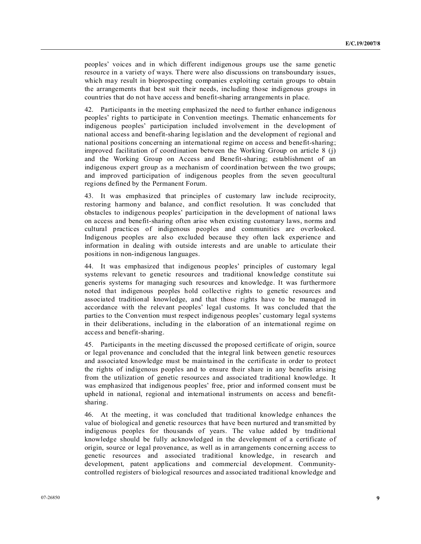peoples' voices and in which different indigenous groups use the same genetic resource in a variety of ways. There were also discussions on transboundary issues, which may result in bioprospecting companies exploiting certain groups to obtain the arrangements that best suit their needs, including those indigenous groups in countries that do not have access and benefit-sharing arrangements in place.

42. Participants in the meeting emphasized the need to further enhance indigenous peoples' rights to participate in Convention meetings. Thematic enhancements for indigenous peoples' participation included involvement in the development of national access and benefit-sharing legislation and the development of regional and national positions concerning an international regime on access and benefit-sharing; improved facilitation of coordination between the Working Group on article 8 (j) and the Working Group on Access and Benefit-sharing; establishment of an indigenous expert group as a mechanism of coordination between the two groups; and improved participation of indigenous peoples from the seven geocultural regions defined by the Permanent Forum.

43. It was emphasized that principles of customary law include reciprocity, restoring harmony and balance, and conflict resolution. It was concluded that obstacles to indigenous peoples' participation in the development of national laws on access and benefit-sharing often arise when existing customary laws, norms and cultural practices of indigenous peoples and communities are overlooked. Indigenous peoples are also excluded because they often lack experience and information in dealing with outside interests and are unable to articulate their positions in non-indigenous languages.

44. It was emphasized that indigenous peoples' principles of customary legal systems relevant to genetic resources and traditional knowledge constitute sui generis systems for managing such resources and knowledge. It was furthermore noted that indigenous peoples hold collective rights to genetic resources and associated traditional knowledge, and that those rights have to be managed in accordance with the relevant peoples' legal customs. It was concluded that the parties to the Convention must respect indigenous peoples' customary legal systems in their deliberations, including in the elaboration of an international regime on access and benefit-sharing.

45. Participants in the meeting discussed the proposed certificate of origin, source or legal provenance and concluded that the integral link between genetic resources and associated knowledge must be maintained in the certificate in order to protect the rights of indigenous peoples and to ensure their share in any benefits arising from the utilization of genetic resources and associated traditional knowledge. It was emphasized that indigenous peoples' free, prior and informed consent must be upheld in national, regional and international instruments on access and benefitsharing.

46. At the meeting, it was concluded that traditional knowledge enhances the value of biological and genetic resources that have been nurtured and transmitted by indigenous peoples for thousands of years. The value added by traditional knowledge should be fully acknowledged in the development of a certificate of origin, source or legal provenance, as well as in arrangements concerning access to genetic resources and associated traditional knowledge, in research and development, patent applications and commercial development. Communitycontrolled registers of biological resources and associated traditional knowledge and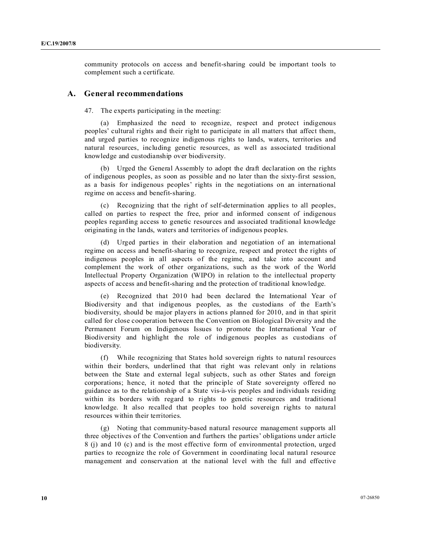community protocols on access and benefit-sharing could be important tools to complement such a certificate.

# **A. General recommendations**

47. The experts participating in the meeting:

 (a) Emphasized the need to recognize, respect and protect indigenous peoples' cultural rights and their right to participate in all matters that affect them, and urged parties to recognize indigenous rights to lands, waters, territories and natural resources, including genetic resources, as well as associated traditional knowledge and custodianship over biodiversity.

 (b) Urged the General Assembly to adopt the draft declaration on the rights of indigenous peoples, as soon as possible and no later than the sixty-first session, as a basis for indigenous peoples' rights in the negotiations on an international regime on access and benefit-sharing.

 (c) Recognizing that the right of self-determination applies to all peoples, called on parties to respect the free, prior and informed consent of indigenous peoples regarding access to genetic resources and associated traditional knowledge originating in the lands, waters and territories of indigenous peoples.

 (d) Urged parties in their elaboration and negotiation of an international regime on access and benefit-sharing to recognize, respect and protect the rights of indigenous peoples in all aspects of the regime, and take into account and complement the work of other organizations, such as the work of the World Intellectual Property Organization (WIPO) in relation to the intellectual property aspects of access and benefit-sharing and the protection of traditional knowledge.

 (e) Recognized that 2010 had been declared the International Year of Biodiversity and that indigenous peoples, as the custodians of the Earth's biodiversity, should be major players in actions planned for 2010, and in that spirit called for close cooperation between the Convention on Biological Diversity and the Permanent Forum on Indigenous Issues to promote the International Year of Biodiversity and highlight the role of indigenous peoples as custodians of biodiversity.

 (f) While recognizing that States hold sovereign rights to natural resources within their borders, underlined that that right was relevant only in relations between the State and external legal subjects, such as other States and foreign corporations; hence, it noted that the principle of State sovereignty offered no guidance as to the relationship of a State vis-à-vis peoples and individuals residing within its borders with regard to rights to genetic resources and traditional knowledge. It also recalled that peoples too hold sovereign rights to natural resources within their territories.

 (g) Noting that community-based natural resource management supports all three objectives of the Convention and furthers the parties' obligations under article 8 (j) and 10 (c) and is the most effective form of environmental protection, urged parties to recognize the role of Government in coordinating local natural resource management and conservation at the national level with the full and effective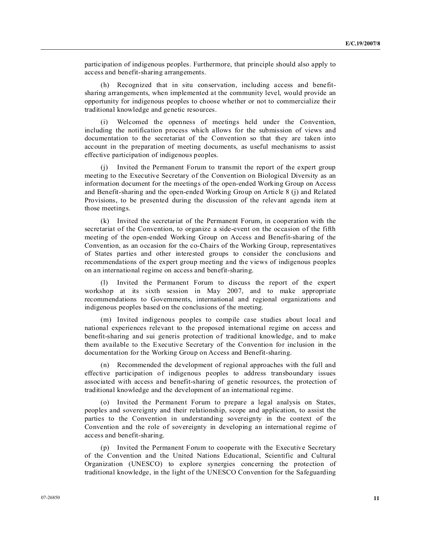participation of indigenous peoples. Furthermore, that principle should also apply to access and benefit-sharing arrangements.

 (h) Recognized that in situ conservation, including access and benefitsharing arrangements, when implemented at the community level, would provide an opportunity for indigenous peoples to choose whether or not to commercialize their traditional knowledge and genetic resources.

 (i) Welcomed the openness of meetings held under the Convention, including the notification process which allows for the submission of views and documentation to the secretariat of the Convention so that they are taken into account in the preparation of meeting documents, as useful mechanisms to assist effective participation of indigenous peoples.

 (j) Invited the Permanent Forum to transmit the report of the expert group meeting to the Executive Secretary of the Convention on Biological Diversity as an information document for the meetings of the open-ended Working Group on Access and Benefit-sharing and the open-ended Working Group on Article 8 (j) and Related Provisions, to be presented during the discussion of the relevant agenda item at those meetings.

 (k) Invited the secretariat of the Permanent Forum, in cooperation with the secretariat of the Convention, to organize a side-event on the occasion of the fifth meeting of the open-ended Working Group on Access and Benefit-sharing of the Convention, as an occasion for the co-Chairs of the Working Group, representatives of States parties and other interested groups to consider the conclusions and recommendations of the expert group meeting and the views of indigenous peoples on an international regime on access and benefit-sharing.

 (l) Invited the Permanent Forum to discuss the report of the expert workshop at its sixth session in May 2007, and to make appropriate recommendations to Governments, international and regional organizations and indigenous peoples based on the conclusions of the meeting.

 (m) Invited indigenous peoples to compile case studies about local and national experiences relevant to the proposed international regime on access and benefit-sharing and sui generis protection of traditional knowledge, and to make them available to the Executive Secretary of the Convention for inclusion in the documentation for the Working Group on Access and Benefit-sharing.

 (n) Recommended the development of regional approaches with the full and effective participation of indigenous peoples to address transboundary issues associated with access and benefit-sharing of genetic resources, the protection of traditional knowledge and the development of an international regime.

 (o) Invited the Permanent Forum to prepare a legal analysis on States, peoples and sovereignty and their relationship, scope and application, to assist the parties to the Convention in understanding sovereignty in the context of the Convention and the role of sovereignty in developing an international regime of access and benefit-sharing.

 (p) Invited the Permanent Forum to cooperate with the Executive Secretary of the Convention and the United Nations Educational, Scientific and Cultural Organization (UNESCO) to explore synergies concerning the protection of traditional knowledge, in the light of the UNESCO Convention for the Safeguarding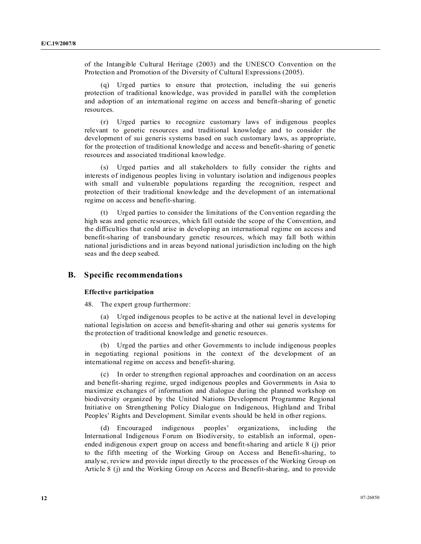of the Intangible Cultural Heritage (2003) and the UNESCO Convention on the Protection and Promotion of the Diversity of Cultural Expressions (2005).

 (q) Urged parties to ensure that protection, including the sui generis protection of traditional knowledge, was provided in parallel with the completion and adoption of an international regime on access and benefit-sharing of genetic resources.

 (r) Urged parties to recognize customary laws of indigenous peoples relevant to genetic resources and traditional knowledge and to consider the development of sui generis systems based on such customary laws, as appropriate, for the protection of traditional knowledge and access and benefit-sharing of genetic resources and associated traditional knowledge.

 (s) Urged parties and all stakeholders to fully consider the rights and interests of indigenous peoples living in voluntary isolation and indigenous peoples with small and vulnerable populations regarding the recognition, respect and protection of their traditional knowledge and the development of an international regime on access and benefit-sharing.

 (t) Urged parties to consider the limitations of the Convention regarding the high seas and genetic resources, which fall outside the scope of the Convention, and the difficulties that could arise in developing an international regime on access and benefit-sharing of transboundary genetic resources, which may fall both within national jurisdictions and in areas beyond national jurisdiction including on the high seas and the deep seabed.

# **B. Specific recommendations**

### **Effective participation**

48. The expert group furthermore:

 (a) Urged indigenous peoples to be active at the national level in developing national legislation on access and benefit-sharing and other sui generis systems for the protection of traditional knowledge and genetic resources.

 (b) Urged the parties and other Governments to include indigenous peoples in negotiating regional positions in the context of the development of an international regime on access and benefit-sharing.

 (c) In order to strengthen regional approaches and coordination on an access and benefit-sharing regime, urged indigenous peoples and Governments in Asia to maximize exchanges of information and dialogue during the planned workshop on biodiversity organized by the United Nations Development Programme Regional Initiative on Strengthening Policy Dialogue on Indigenous, Highland and Tribal Peoples' Rights and Development. Similar events should be held in other regions.

 (d) Encouraged indigenous peoples' organizations, including the International Indigenous Forum on Biodiversity, to establish an informal, openended indigenous expert group on access and benefit-sharing and article 8 (j) prior to the fifth meeting of the Working Group on Access and Benefit-sharing, to analyse, review and provide input directly to the processes of the Working Group on Article 8 (j) and the Working Group on Access and Benefit-sharing, and to provide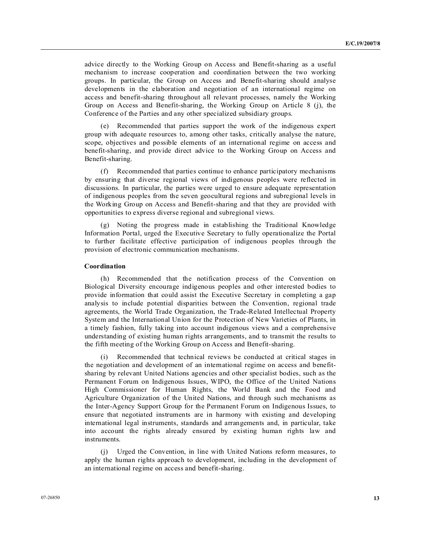advice directly to the Working Group on Access and Benefit-sharing as a useful mechanism to increase cooperation and coordination between the two working groups. In particular, the Group on Access and Benefit-sharing should analyse developments in the elaboration and negotiation of an international regime on access and benefit-sharing throughout all relevant processes, namely the Working Group on Access and Benefit-sharing, the Working Group on Article 8 (j), the Conference of the Parties and any other specialized subsidiary groups.

 (e) Recommended that parties support the work of the indigenous expert group with adequate resources to, among other tasks, critically analyse the nature, scope, objectives and possible elements of an international regime on access and benefit-sharing, and provide direct advice to the Working Group on Access and Benefit-sharing.

 (f) Recommended that parties continue to enhance participatory mechanisms by ensuring that diverse regional views of indigenous peoples were reflected in discussions. In particular, the parties were urged to ensure adequate representation of indigenous peoples from the seven geocultural regions and subregional levels in the Working Group on Access and Benefit-sharing and that they are provided with opportunities to express diverse regional and subregional views.

 (g) Noting the progress made in establishing the Traditional Knowledge Information Portal, urged the Executive Secretary to fully operationalize the Portal to further facilitate effective participation of indigenous peoples through the provision of electronic communication mechanisms.

#### **Coordination**

 (h) Recommended that the notification process of the Convention on Biological Diversity encourage indigenous peoples and other interested bodies to provide information that could assist the Executive Secretary in completing a gap analysis to include potential disparities between the Convention, regional trade agreements, the World Trade Organization, the Trade-Related Intellectual Property System and the International Union for the Protection of New Varieties of Plants, in a timely fashion, fully taking into account indigenous views and a comprehensive understanding of existing human rights arrangements, and to transmit the results to the fifth meeting of the Working Group on Access and Benefit-sharing.

Recommended that technical reviews be conducted at critical stages in the negotiation and development of an international regime on access and benefitsharing by relevant United Nations agencies and other specialist bodies, such as the Permanent Forum on Indigenous Issues, WIPO, the Office of the United Nations High Commissioner for Human Rights, the World Bank and the Food and Agriculture Organization of the United Nations, and through such mechanisms as the Inter-Agency Support Group for the Permanent Forum on Indigenous Issues, to ensure that negotiated instruments are in harmony with existing and developing international legal instruments, standards and arrangements and, in particular, take into account the rights already ensured by existing human rights law and instruments.

 (j) Urged the Convention, in line with United Nations reform measures, to apply the human rights approach to development, including in the development of an international regime on access and benefit-sharing.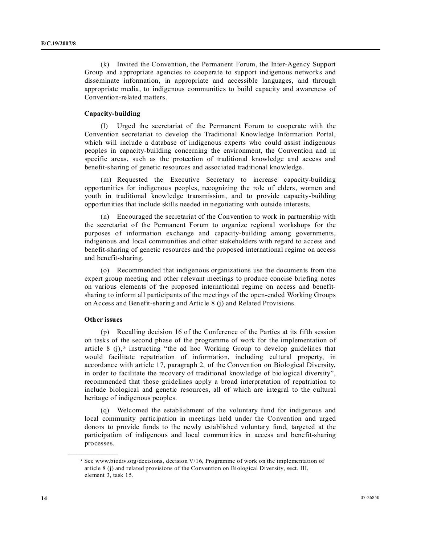(k) Invited the Convention, the Permanent Forum, the Inter-Agency Support Group and appropriate agencies to cooperate to support indigenous networks and disseminate information, in appropriate and accessible languages, and through appropriate media, to indigenous communities to build capacity and awareness of Convention-related matters.

### **Capacity-building**

 (l) Urged the secretariat of the Permanent Forum to cooperate with the Convention secretariat to develop the Traditional Knowledge Information Portal, which will include a database of indigenous experts who could assist indigenous peoples in capacity-building concerning the environment, the Convention and in specific areas, such as the protection of traditional knowledge and access and benefit-sharing of genetic resources and associated traditional knowledge.

 (m) Requested the Executive Secretary to increase capacity-building opportunities for indigenous peoples, recognizing the role of elders, women and youth in traditional knowledge transmission, and to provide capacity-building opportunities that include skills needed in negotiating with outside interests.

 (n) Encouraged the secretariat of the Convention to work in partnership with the secretariat of the Permanent Forum to organize regional workshops for the purposes of information exchange and capacity-building among governments, indigenous and local communities and other stakeholders with regard to access and benefit-sharing of genetic resources and the proposed international regime on access and benefit-sharing.

 (o) Recommended that indigenous organizations use the documents from the expert group meeting and other relevant meetings to produce concise briefing notes on various elements of the proposed international regime on access and benefitsharing to inform all participants of the meetings of the open-ended Working Groups on Access and Benefit-sharing and Article 8 (j) and Related Provisions.

## **Other issues**

**\_\_\_\_\_\_\_\_\_\_\_\_\_\_\_\_\_\_** 

 (p) Recalling decision 16 of the Conference of the Parties at its fifth session on tasks of the second phase of the programme of work for the implementation of article  $8$  (j),<sup>3</sup> instructing "the ad hoc Working Group to develop guidelines that would facilitate repatriation of information, including cultural property, in accordance with article 17, paragraph 2, of the Convention on Biological Diversity, in order to facilitate the recovery of traditional knowledge of biological diversity", recommended that those guidelines apply a broad interpretation of repatriation to include biological and genetic resources, all of which are integral to the cultural heritage of indigenous peoples.

 (q) Welcomed the establishment of the voluntary fund for indigenous and local community participation in meetings held under the Convention and urged donors to provide funds to the newly established voluntary fund, targeted at the participation of indigenous and local communities in access and benefit-sharing processes.

<sup>3</sup> See www.biodiv.org/decisions, decision V/16, Programme of work on the implementation of article 8 (j) and related provisions of the Convention on Biological Diversity, sect. III, element 3, task 15.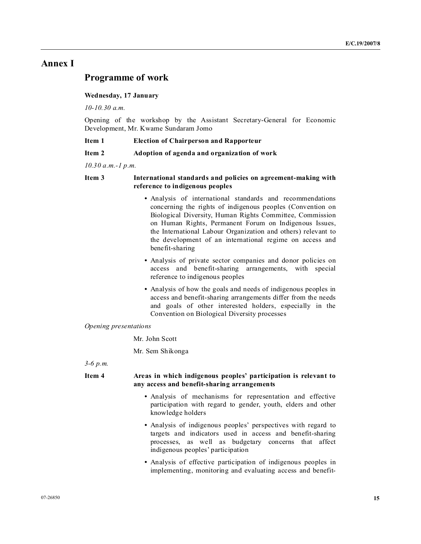# **Annex I**

# **Programme of work**

#### **Wednesday, 17 January**

*10-10.30 a.m.* 

Opening of the workshop by the Assistant Secretary-General for Economic Development, Mr. Kwame Sundaram Jomo

### **Item 1 Election of Chairperson and Rapporteur**

#### **Item 2 Adoption of agenda and organization of work**

*10.30 a.m.-1 p.m.* 

# **Item 3 International standards and policies on agreement-making with reference to indigenous peoples**

- Analysis of international standards and recommendations concerning the rights of indigenous peoples (Convention on Biological Diversity, Human Rights Committee, Commission on Human Rights, Permanent Forum on Indigenous Issues, the International Labour Organization and others) relevant to the development of an international regime on access and benefit-sharing
- Analysis of private sector companies and donor policies on access and benefit-sharing arrangements, with special reference to indigenous peoples
- Analysis of how the goals and needs of indigenous peoples in access and benefit-sharing arrangements differ from the needs and goals of other interested holders, especially in the Convention on Biological Diversity processes

#### *Opening presentations*

Mr. John Scott

Mr. Sem Shikonga

*3-6 p.m.* 

# **Item 4 Areas in which indigenous peoples' participation is relevant to any access and benefit-sharing arrangements**

- Analysis of mechanisms for representation and effective participation with regard to gender, youth, elders and other knowledge holders
- Analysis of indigenous peoples' perspectives with regard to targets and indicators used in access and benefit-sharing processes, as well as budgetary concerns that affect indigenous peoples' participation
- Analysis of effective participation of indigenous peoples in implementing, monitoring and evaluating access and benefit-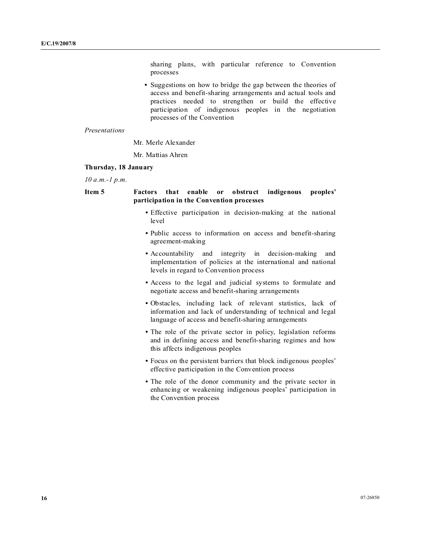sharing plans, with particular reference to Convention processes

 **•** Suggestions on how to bridge the gap between the theories of access and benefit-sharing arrangements and actual tools and practices needed to strengthen or build the effective participation of indigenous peoples in the negotiation processes of the Convention

#### *Presentations*

Mr. Merle Alexander

Mr. Mattias Ahren

### **Thursday, 18 January**

*10 a.m.-1 p.m.* 

# **Item 5 Factors that enable or obstruct indigenous peoples' participation in the Convention processes**

- Effective participation in decision-making at the national level
- Public access to information on access and benefit-sharing agreement-making
- Accountability and integrity in decision-making and implementation of policies at the international and national levels in regard to Convention process
- Access to the legal and judicial systems to formulate and negotiate access and benefit-sharing arrangements
- Obstacles, including lack of relevant statistics, lack of information and lack of understanding of technical and legal language of access and benefit-sharing arrangements
- The role of the private sector in policy, legislation reforms and in defining access and benefit-sharing regimes and how this affects indigenous peoples
- Focus on the persistent barriers that block indigenous peoples' effective participation in the Convention process
- The role of the donor community and the private sector in enhancing or weakening indigenous peoples' participation in the Convention process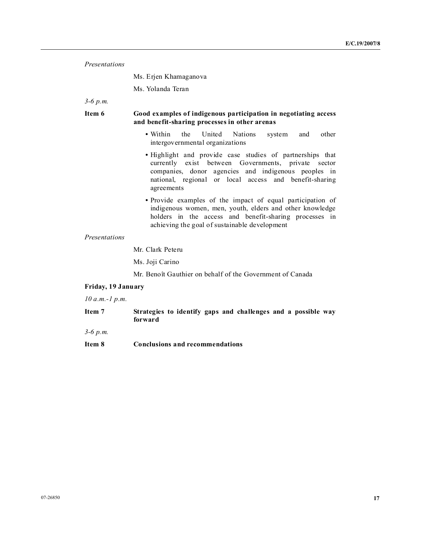| Presentations      |                                                                                                                                                                                                                                                    |
|--------------------|----------------------------------------------------------------------------------------------------------------------------------------------------------------------------------------------------------------------------------------------------|
|                    | Ms. Erjen Khamaganova                                                                                                                                                                                                                              |
|                    | Ms. Yolanda Teran                                                                                                                                                                                                                                  |
| $3-6 p.m.$         |                                                                                                                                                                                                                                                    |
| Item 6             | Good examples of indigenous participation in negotiating access<br>and benefit-sharing processes in other arenas                                                                                                                                   |
|                    | • Within<br>the<br>United<br>Nations<br>other<br>system<br>and<br>intergovernmental organizations                                                                                                                                                  |
|                    | • Highlight and provide case studies of partnerships that<br>currently exist between Governments, private<br>sector<br>companies, donor agencies and indigenous peoples in<br>national, regional or local access and benefit-sharing<br>agreements |
|                    | • Provide examples of the impact of equal participation of<br>indigenous women, men, youth, elders and other knowledge<br>holders in the access and benefit-sharing processes in<br>achieving the goal of sustainable development                  |
| Presentations      |                                                                                                                                                                                                                                                    |
|                    | Mr. Clark Peteru                                                                                                                                                                                                                                   |
|                    | Ms. Joji Carino                                                                                                                                                                                                                                    |
|                    | Mr. Benoît Gauthier on behalf of the Government of Canada                                                                                                                                                                                          |
| Friday, 19 January |                                                                                                                                                                                                                                                    |
| $10 a.m.-1 p.m.$   |                                                                                                                                                                                                                                                    |
| Item 7             | Strategies to identify gaps and challenges and a possible way<br>forward                                                                                                                                                                           |
| $3-6$ p.m.         |                                                                                                                                                                                                                                                    |
| Item 8             | <b>Conclusions and recommendations</b>                                                                                                                                                                                                             |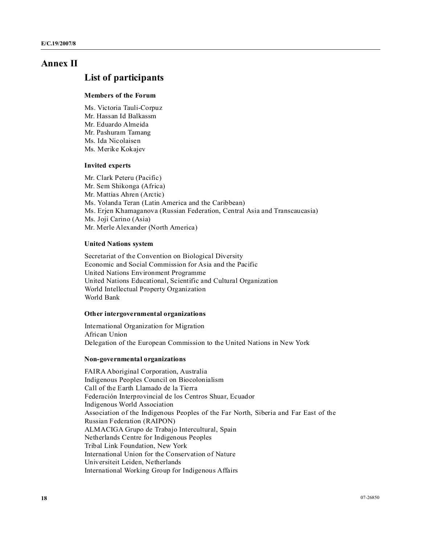# **Annex II**

# **List of participants**

#### **Members of the Forum**

Ms. Victoria Tauli-Corpuz Mr. Hassan Id Balkassm Mr. Eduardo Almeida Mr. Pashuram Tamang Ms. Ida Nicolaisen Ms. Merike Kokajev

# **Invited experts**

Mr. Clark Peteru (Pacific) Mr. Sem Shikonga (Africa) Mr. Mattias Ahren (Arctic) Ms. Yolanda Teran (Latin America and the Caribbean) Ms. Erjen Khamaganova (Russian Federation, Central Asia and Transcaucasia) Ms. Joji Carino (Asia) Mr. Merle Alexander (North America)

### **United Nations system**

Secretariat of the Convention on Biological Diversity Economic and Social Commission for Asia and the Pacific United Nations Environment Programme United Nations Educational, Scientific and Cultural Organization World Intellectual Property Organization World Bank

#### **Other intergovernmental organizations**

International Organization for Migration African Union Delegation of the European Commission to the United Nations in New York

### **on-governmental organizations**

FAIRA Aboriginal Corporation, Australia Indigenous Peoples Council on Biocolonialism Call of the Earth Llamado de la Tierra Federación Interprovincial de los Centros Shuar, Ecuador Indigenous World Association Association of the Indigenous Peoples of the Far North, Siberia and Far East of the Russian Federation (RAIPON) ALMACIGA Grupo de Trabajo Intercultural, Spain Netherlands Centre for Indigenous Peoples Tribal Link Foundation, New York International Union for the Conservation of Nature Universiteit Leiden, Netherlands International Working Group for Indigenous Affairs